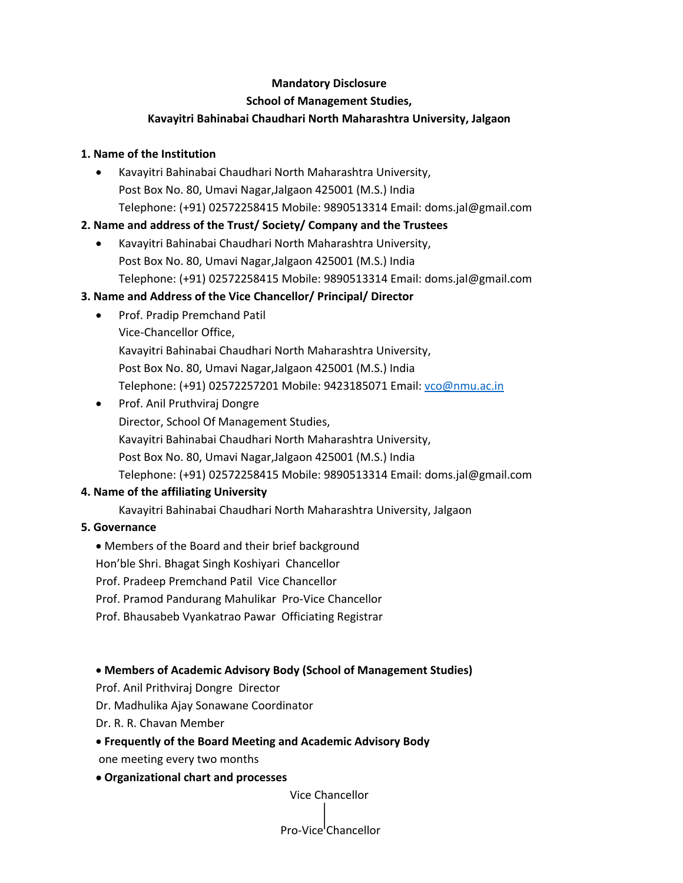# **Mandatory Disclosure**

#### **School of Management Studies,**

# **Kavayitri Bahinabai Chaudhari North Maharashtra University, Jalgaon**

## **1. Name of the Institution**

 Kavayitri Bahinabai Chaudhari North Maharashtra University, Post Box No. 80, Umavi Nagar,Jalgaon 425001 (M.S.) India Telephone: (+91) 02572258415 Mobile: 9890513314 Email: doms.jal@gmail.com

## **2. Name and address of the Trust/ Society/ Company and the Trustees**

 Kavayitri Bahinabai Chaudhari North Maharashtra University, Post Box No. 80, Umavi Nagar,Jalgaon 425001 (M.S.) India Telephone: (+91) 02572258415 Mobile: 9890513314 Email: doms.jal@gmail.com

# **3. Name and Address of the Vice Chancellor/ Principal/ Director**

- Prof. Pradip Premchand Patil Vice-Chancellor Office, Kavayitri Bahinabai Chaudhari North Maharashtra University, Post Box No. 80, Umavi Nagar,Jalgaon 425001 (M.S.) India Telephone: (+91) 02572257201 Mobile: 9423185071 Email: vco@nmu.ac.in
- Prof. Anil Pruthviraj Dongre Director, School Of Management Studies, Kavayitri Bahinabai Chaudhari North Maharashtra University, Post Box No. 80, Umavi Nagar,Jalgaon 425001 (M.S.) India Telephone: (+91) 02572258415 Mobile: 9890513314 Email: doms.jal@gmail.com

## **4. Name of the affiliating University**

Kavayitri Bahinabai Chaudhari North Maharashtra University, Jalgaon

## **5. Governance**

Members of the Board and their brief background

Hon'ble Shri. Bhagat Singh Koshiyari Chancellor

- Prof. Pradeep Premchand Patil Vice Chancellor
- Prof. Pramod Pandurang Mahulikar Pro-Vice Chancellor
- Prof. Bhausabeb Vyankatrao Pawar Officiating Registrar

## **Members of Academic Advisory Body (School of Management Studies)**

- Prof. Anil Prithviraj Dongre Director
- Dr. Madhulika Ajay Sonawane Coordinator
- Dr. R. R. Chavan Member

# **Frequently of the Board Meeting and Academic Advisory Body**

one meeting every two months

## **Organizational chart and processes**

Vice Chancellor

# Pro-Vice Chancellor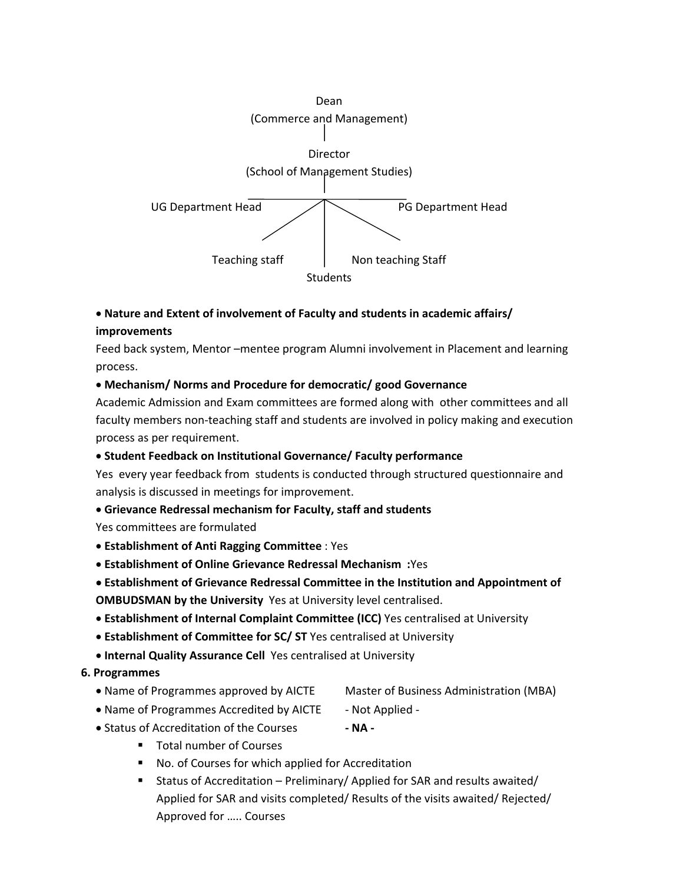

# **Nature and Extent of involvement of Faculty and students in academic affairs/ improvements**

Feed back system, Mentor –mentee program Alumni involvement in Placement and learning process.

## **Mechanism/ Norms and Procedure for democratic/ good Governance**

Academic Admission and Exam committees are formed along with other committees and all faculty members non-teaching staff and students are involved in policy making and execution process as per requirement.

# **Student Feedback on Institutional Governance/ Faculty performance**

Yes every year feedback from students is conducted through structured questionnaire and analysis is discussed in meetings for improvement.

## **Grievance Redressal mechanism for Faculty, staff and students**

Yes committees are formulated

- **Establishment of Anti Ragging Committee** : Yes
- **Establishment of Online Grievance Redressal Mechanism :**Yes

# **Establishment of Grievance Redressal Committee in the Institution and Appointment of**

**OMBUDSMAN by the University** Yes at University level centralised.

- **Establishment of Internal Complaint Committee (ICC)** Yes centralised at University
- **Establishment of Committee for SC/ ST** Yes centralised at University
- **Internal Quality Assurance Cell** Yes centralised at University

## **6. Programmes**

- Name of Programmes approved by AICTE Master of Business Administration (MBA)
- Name of Programmes Accredited by AICTE Not Applied -
- -
- Status of Accreditation of the Courses  **NA -**
	- **Total number of Courses** 
		- No. of Courses for which applied for Accreditation
		- Status of Accreditation Preliminary/ Applied for SAR and results awaited/ Applied for SAR and visits completed/ Results of the visits awaited/ Rejected/ Approved for ….. Courses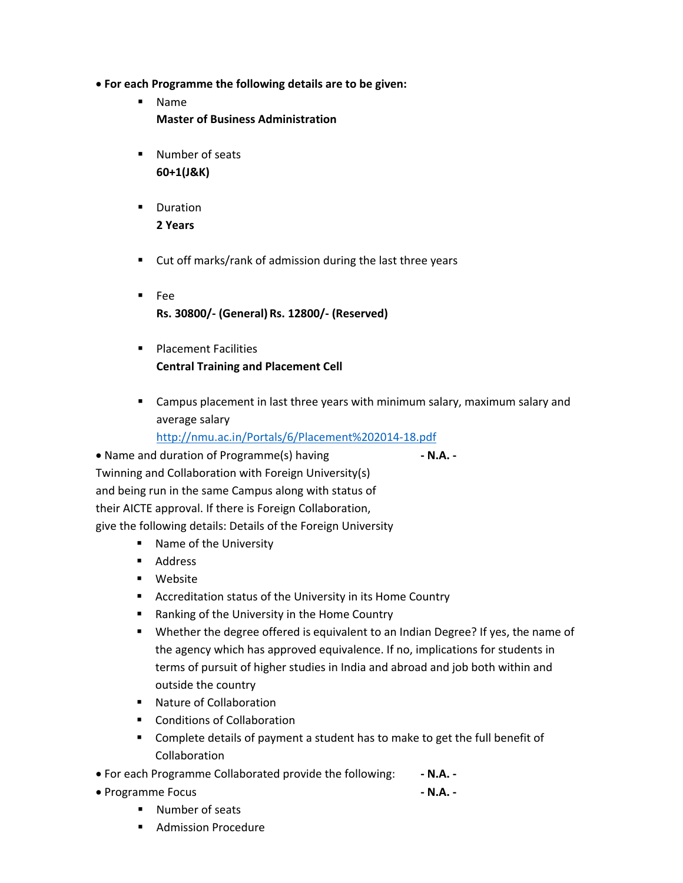- **For each Programme the following details are to be given:** 
	- Name **Master of Business Administration**
	- **Number of seats 60+1(J&K)**
	- **•** Duration **2 Years**
	- Cut off marks/rank of admission during the last three years
	- Fee **Rs. 30800/- (General) Rs. 12800/- (Reserved)**
	- **Placement Facilities Central Training and Placement Cell**
	- Campus placement in last three years with minimum salary, maximum salary and average salary

http://nmu.ac.in/Portals/6/Placement%202014-18.pdf

 Name and duration of Programme(s) having **- N.A. -** Twinning and Collaboration with Foreign University(s) and being run in the same Campus along with status of their AICTE approval. If there is Foreign Collaboration, give the following details: Details of the Foreign University

- Name of the University
- **Address**
- **■** Website
- Accreditation status of the University in its Home Country
- Ranking of the University in the Home Country
- Whether the degree offered is equivalent to an Indian Degree? If yes, the name of the agency which has approved equivalence. If no, implications for students in terms of pursuit of higher studies in India and abroad and job both within and outside the country
- Nature of Collaboration
- **Conditions of Collaboration**
- Complete details of payment a student has to make to get the full benefit of Collaboration
- For each Programme Collaborated provide the following:  **N.A. -**
- Programme Focus  **N.A. -**
	-

- Number of seats
- **Admission Procedure**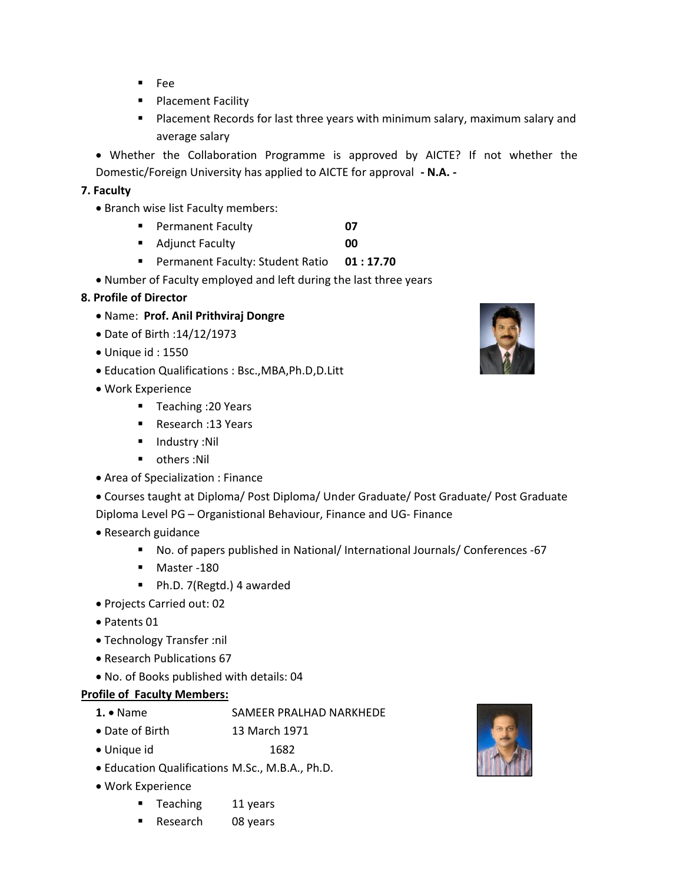- **Fee**
- **Placement Facility**
- **Placement Records for last three years with minimum salary, maximum salary and** average salary

 Whether the Collaboration Programme is approved by AICTE? If not whether the Domestic/Foreign University has applied to AICTE for approval **- N.A. -**

## **7. Faculty**

- Branch wise list Faculty members:
	- Permanent Faculty **07**
	- **Adjunct Faculty 1988**
	- **Permanent Faculty: Student Ratio 01:17.70**
- Number of Faculty employed and left during the last three years

#### **8. Profile of Director**

- Name: **Prof. Anil Prithviraj Dongre**
- Date of Birth :14/12/1973
- Unique id : 1550
- Education Qualifications : Bsc.,MBA,Ph.D,D.Litt
- Work Experience
	- Teaching :20 Years
	- Research : 13 Years
	- **Industry :Nil**
	- **•** others :Nil
- Area of Specialization : Finance
- Courses taught at Diploma/ Post Diploma/ Under Graduate/ Post Graduate/ Post Graduate
- Diploma Level PG Organistional Behaviour, Finance and UG- Finance
- Research guidance
	- No. of papers published in National/ International Journals/ Conferences -67
	- **Master -180**
	- Ph.D. 7(Regtd.) 4 awarded
- Projects Carried out: 02
- Patents 01
- Technology Transfer :nil
- Research Publications 67
- No. of Books published with details: 04

#### **Profile of Faculty Members:**

- 1. . Name SAMEER PRALHAD NARKHEDE
- Date of Birth 13 March 1971
- Unique id 1682
- Education Qualifications M.Sc., M.B.A., Ph.D.
- Work Experience
	- **Teaching 11 years**
	- Research 08 years



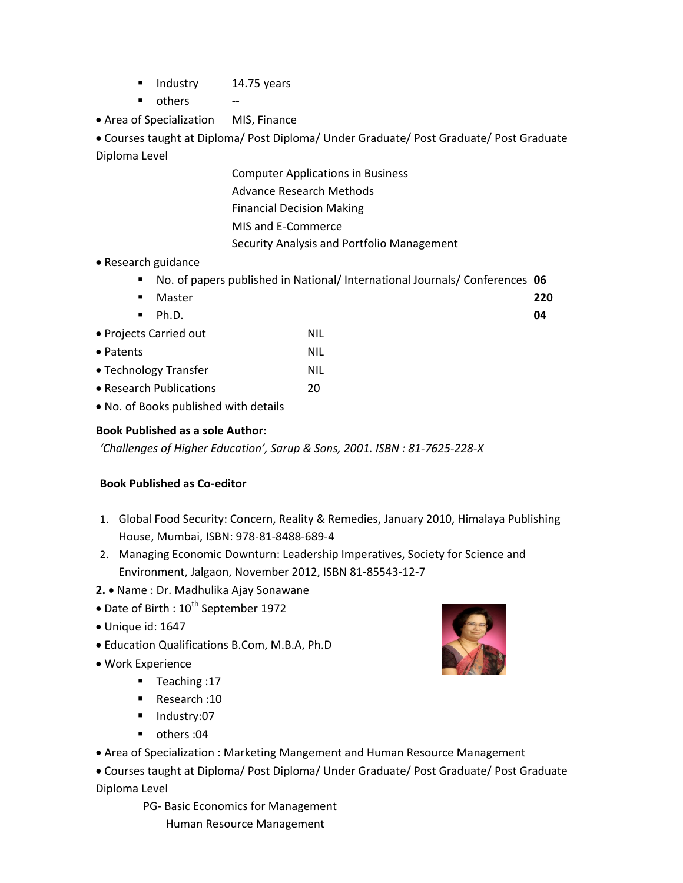- **Industry** 14.75 years
- others --
- Area of Specialization MIS, Finance

 Courses taught at Diploma/ Post Diploma/ Under Graduate/ Post Graduate/ Post Graduate Diploma Level

- Computer Applications in Business Advance Research Methods Financial Decision Making MIS and E-Commerce Security Analysis and Portfolio Management
- Research guidance
	- No. of papers published in National/ International Journals/ Conferences **06**

| Master<br>٠             |            | 220 |
|-------------------------|------------|-----|
| Ph.D.<br>$\blacksquare$ |            | 04  |
| • Projects Carried out  | <b>NIL</b> |     |
| • Patents               | <b>NIL</b> |     |
| • Technology Transfer   | <b>NIL</b> |     |
| • Research Publications | 20         |     |
|                         |            |     |

No. of Books published with details

#### **Book Published as a sole Author:**

*'Challenges of Higher Education', Sarup & Sons, 2001. ISBN : 81-7625-228-X*

#### **Book Published as Co-editor**

- 1. Global Food Security: Concern, Reality & Remedies, January 2010, Himalaya Publishing House, Mumbai, ISBN: 978-81-8488-689-4
- 2. Managing Economic Downturn: Leadership Imperatives, Society for Science and Environment, Jalgaon, November 2012, ISBN 81-85543-12-7
- **2.**  Name : Dr. Madhulika Ajay Sonawane
- $\bullet$  Date of Birth :  $10^{th}$  September 1972
- Unique id: 1647
- Education Qualifications B.Com, M.B.A, Ph.D
- Work Experience
	- Teaching :17
	- Research: 10
	- **Industry:07**
	- others :04
- Area of Specialization : Marketing Mangement and Human Resource Management

 Courses taught at Diploma/ Post Diploma/ Under Graduate/ Post Graduate/ Post Graduate Diploma Level

> PG- Basic Economics for Management Human Resource Management

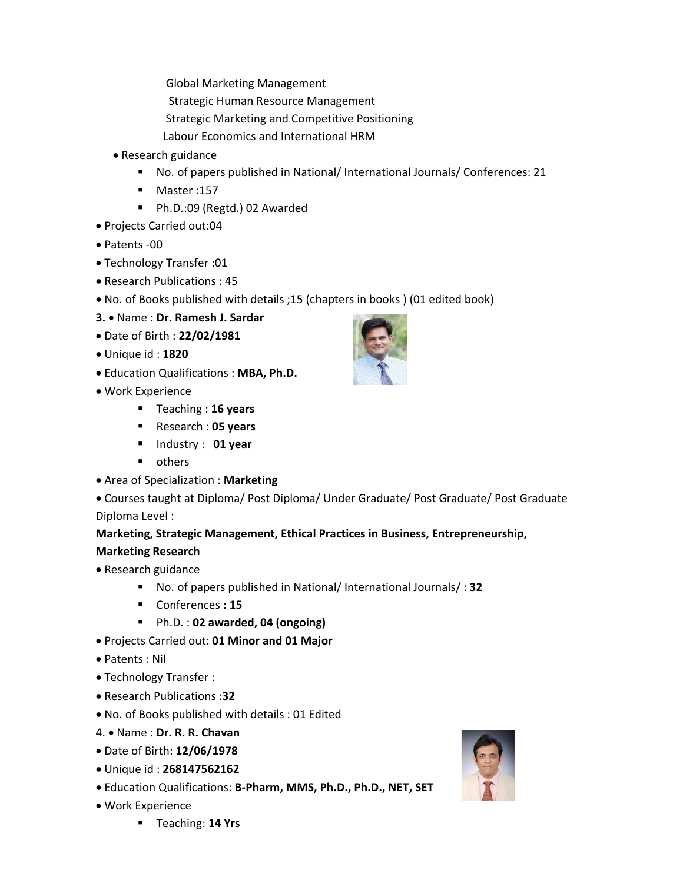Global Marketing Management

- Strategic Human Resource Management
- Strategic Marketing and Competitive Positioning
- Labour Economics and International HRM
- Research guidance
	- No. of papers published in National/ International Journals/ Conferences: 21
	- Master: 157
	- Ph.D.:09 (Regtd.) 02 Awarded
- Projects Carried out:04
- Patents -00
- Technology Transfer :01
- Research Publications : 45
- No. of Books published with details ;15 (chapters in books ) (01 edited book)
- **3.** Name : **Dr. Ramesh J. Sardar**
- Date of Birth : **22/02/1981**
- Unique id : **1820**
- Education Qualifications : **MBA, Ph.D.**
- Work Experience
	- Teaching : **16 years**
	- Research : **05 years**
	- Industry : **01 year**
	- **•** others
- Area of Specialization : **Marketing**
- Courses taught at Diploma/ Post Diploma/ Under Graduate/ Post Graduate/ Post Graduate Diploma Level :

# **Marketing, Strategic Management, Ethical Practices in Business, Entrepreneurship, Marketing Research**

- Research guidance
	- No. of papers published in National/ International Journals/ : **32**
	- Conferences **: 15**
	- Ph.D. : **02 awarded, 04 (ongoing)**
- Projects Carried out: **01 Minor and 01 Major**
- Patents : Nil
- Technology Transfer :
- Research Publications :**32**
- No. of Books published with details : 01 Edited
- 4. Name : **Dr. R. R. Chavan**
- Date of Birth: **12/06/1978**
- Unique id : **268147562162**
- Education Qualifications: **B-Pharm, MMS, Ph.D., Ph.D., NET, SET**
- Work Experience





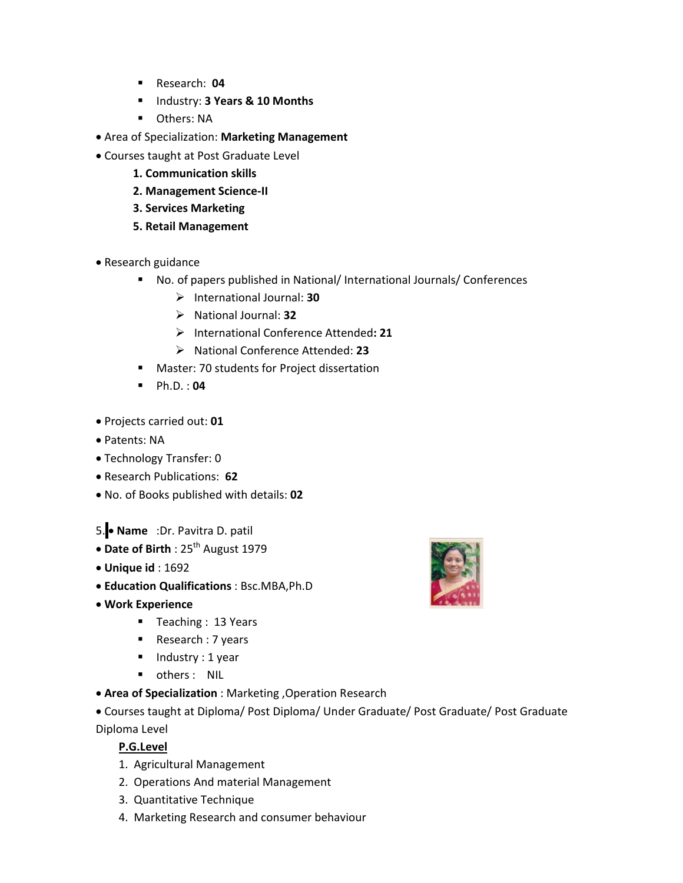- Research: **04**
- Industry: **3 Years & 10 Months**
- **D** Others: NA
- Area of Specialization: **Marketing Management**
- Courses taught at Post Graduate Level
	- **1. Communication skills**
	- **2. Management Science-II**
	- **3. Services Marketing**
	- **5. Retail Management**
- Research guidance
	- No. of papers published in National/ International Journals/ Conferences
		- International Journal: **30**
		- National Journal: **32**
		- International Conference Attended**: 21**
		- National Conference Attended: **23**
	- **Master: 70 students for Project dissertation**
	- Ph.D. : **04**
- Projects carried out: **01**
- Patents: NA
- Technology Transfer: 0
- Research Publications: **62**
- No. of Books published with details: **02**
- 5. **Name** :Dr. Pavitra D. patil
- Date of Birth: 25<sup>th</sup> August 1979
- **Unique id** : 1692
- **Education Qualifications** : Bsc.MBA,Ph.D
- **Work Experience**
	- Teaching : 13 Years
	- Research : 7 years
	- $\blacksquare$  Industry : 1 year
	- **•** others : NIL
- **Area of Specialization** : Marketing ,Operation Research
- Courses taught at Diploma/ Post Diploma/ Under Graduate/ Post Graduate/ Post Graduate Diploma Level

## **P.G.Level**

- 1. Agricultural Management
- 2. Operations And material Management
- 3. Quantitative Technique
- 4. Marketing Research and consumer behaviour

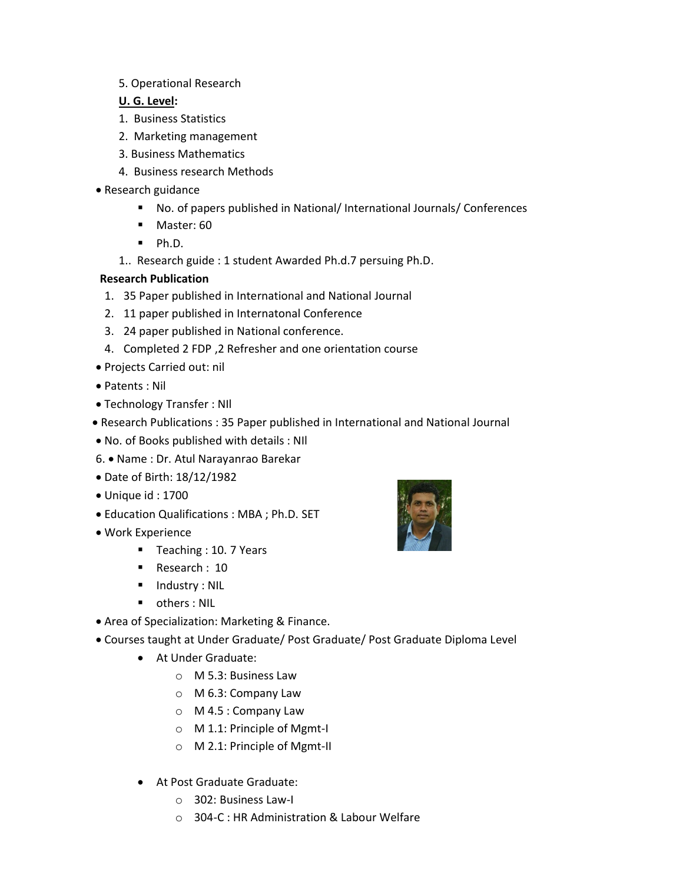5. Operational Research

## **U. G. Level:**

- 1. Business Statistics
- 2. Marketing management
- 3. Business Mathematics
- 4. Business research Methods
- Research guidance
	- No. of papers published in National/ International Journals/ Conferences
	- **Master: 60**
	- $\blacksquare$  Ph.D.
	- 1.. Research guide : 1 student Awarded Ph.d.7 persuing Ph.D.

# **Research Publication**

- 1. 35 Paper published in International and National Journal
- 2. 11 paper published in Internatonal Conference
- 3. 24 paper published in National conference.
- 4. Completed 2 FDP ,2 Refresher and one orientation course
- Projects Carried out: nil
- Patents : Nil
- Technology Transfer : NIl
- Research Publications : 35 Paper published in International and National Journal
- No. of Books published with details : NIl
- 6. Name : Dr. Atul Narayanrao Barekar
- Date of Birth: 18/12/1982
- Unique id : 1700
- Education Qualifications : MBA ; Ph.D. SET
- Work Experience
	- Teaching : 10. 7 Years
	- Research : 10
	- **Industry : NIL**
	- **•** others : NIL
- Area of Specialization: Marketing & Finance.
- Courses taught at Under Graduate/ Post Graduate/ Post Graduate Diploma Level
	- At Under Graduate:
		- o M 5.3: Business Law
		- o M 6.3: Company Law
		- o M 4.5 : Company Law
		- o M 1.1: Principle of Mgmt-I
		- o M 2.1: Principle of Mgmt-II
	- At Post Graduate Graduate:
		- o 302: Business Law-I
		- o 304-C : HR Administration & Labour Welfare

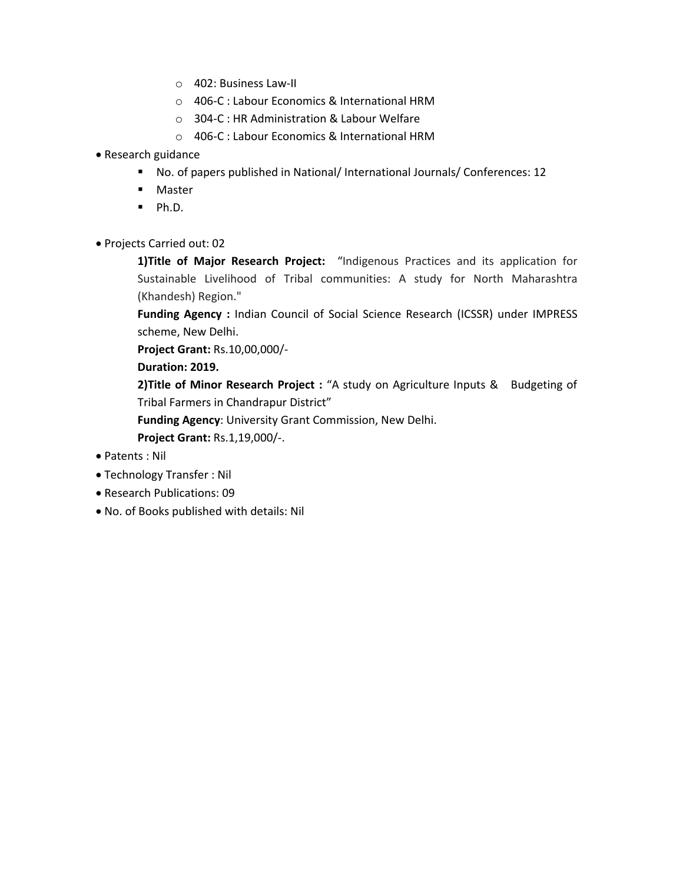- o 402: Business Law-II
- o 406-C : Labour Economics & International HRM
- o 304-C : HR Administration & Labour Welfare
- o 406-C : Labour Economics & International HRM
- Research guidance
	- No. of papers published in National/ International Journals/ Conferences: 12
	- **Master**
	- $\blacksquare$  Ph.D.
- Projects Carried out: 02

**1)Title of Major Research Project:** "Indigenous Practices and its application for Sustainable Livelihood of Tribal communities: A study for North Maharashtra (Khandesh) Region."

**Funding Agency :** Indian Council of Social Science Research (ICSSR) under IMPRESS scheme, New Delhi.

**Project Grant:** Rs.10,00,000/-

**Duration: 2019.**

**2)Title of Minor Research Project :** "A study on Agriculture Inputs & Budgeting of Tribal Farmers in Chandrapur District"

**Funding Agency**: University Grant Commission, New Delhi.

**Project Grant:** Rs.1,19,000/-.

- Patents : Nil
- Technology Transfer : Nil
- Research Publications: 09
- No. of Books published with details: Nil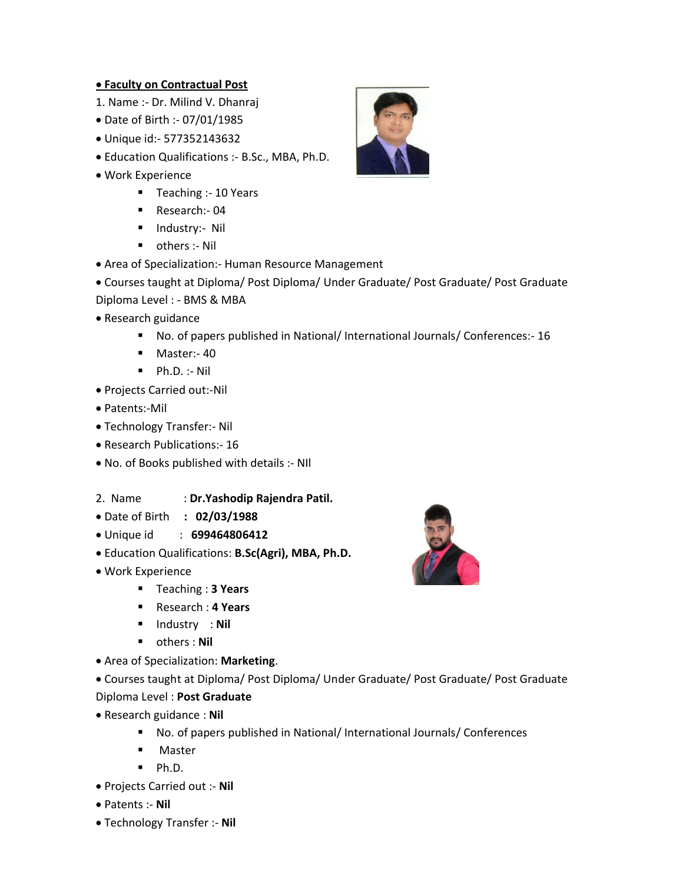#### **Faculty on Contractual Post**

- 1. Name :- Dr. Milind V. Dhanraj
- Date of Birth :- 07/01/1985
- Unique id:- 577352143632
- Education Qualifications :- B.Sc., MBA, Ph.D.
- Work Experience
	- Teaching :- 10 Years
	- Research:- 04
	- **Industry:- Nil**
	- others :- Nil
- Area of Specialization:- Human Resource Management
- Courses taught at Diploma/ Post Diploma/ Under Graduate/ Post Graduate/ Post Graduate Diploma Level : - BMS & MBA
- Research guidance
	- No. of papers published in National/ International Journals/ Conferences:- 16
	- **Master:-40**
	- $\blacksquare$  Ph.D. :- Nil
- Projects Carried out:-Nil
- Patents:-Mil
- Technology Transfer:- Nil
- Research Publications: 16
- No. of Books published with details :- NIl
- 2. Name : **Dr.Yashodip Rajendra Patil.**
- Date of Birth **: 02/03/1988**
- Unique id : **699464806412**
- Education Qualifications: **B.Sc(Agri), MBA, Ph.D.**
- Work Experience
	- Teaching : **3 Years**
	- Research : **4 Years**
	- **Industry : Nil**
	- others : **Nil**
- Area of Specialization: **Marketing**.

Courses taught at Diploma/ Post Diploma/ Under Graduate/ Post Graduate/ Post Graduate

- Diploma Level : **Post Graduate**
- Research guidance : **Nil**
	- No. of papers published in National/ International Journals/ Conferences
	- **Master**
	- $Ph.D.$
- Projects Carried out :- **Nil**
- Patents :- **Nil**
- Technology Transfer :- **Nil**



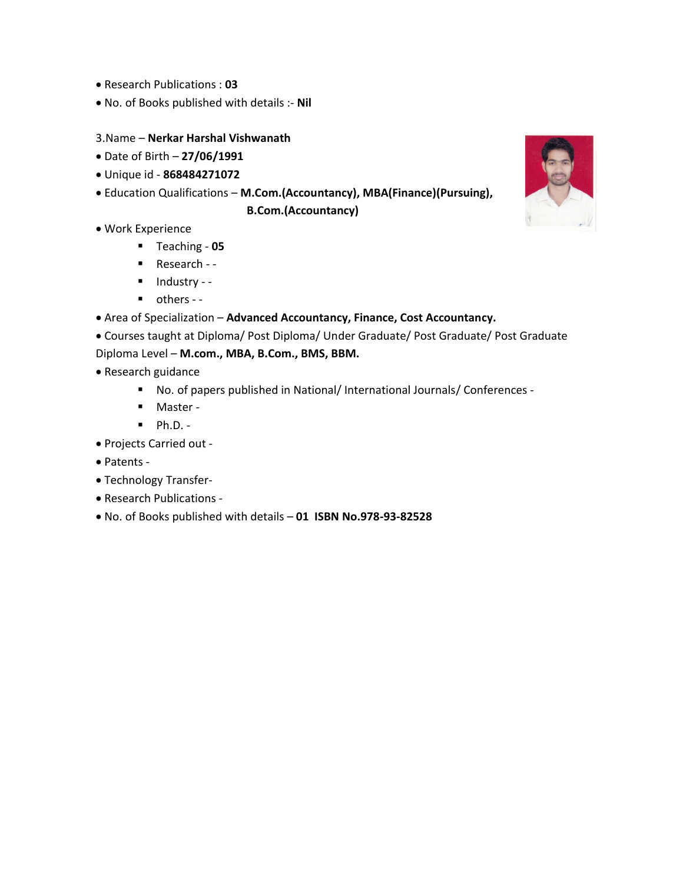- Research Publications : **03**
- No. of Books published with details :- **Nil**
- 3.Name **Nerkar Harshal Vishwanath**
- Date of Birth **27/06/1991**
- Unique id **868484271072**
- Education Qualifications **M.Com.(Accountancy), MBA(Finance)(Pursuing),**

**B.Com.(Accountancy)** 

- Work Experience
	- Teaching **05**
	- Research -
	- $\blacksquare$  Industry -
	- others -
- Area of Specialization **Advanced Accountancy, Finance, Cost Accountancy.**
- Courses taught at Diploma/ Post Diploma/ Under Graduate/ Post Graduate/ Post Graduate Diploma Level – **M.com., MBA, B.Com., BMS, BBM.**
- Research guidance
	- No. of papers published in National/ International Journals/ Conferences -
	- Master -
	- $\blacksquare$  Ph.D. -
- Projects Carried out -
- Patents -
- Technology Transfer-
- Research Publications -
- No. of Books published with details **01 ISBN No.978-93-82528**

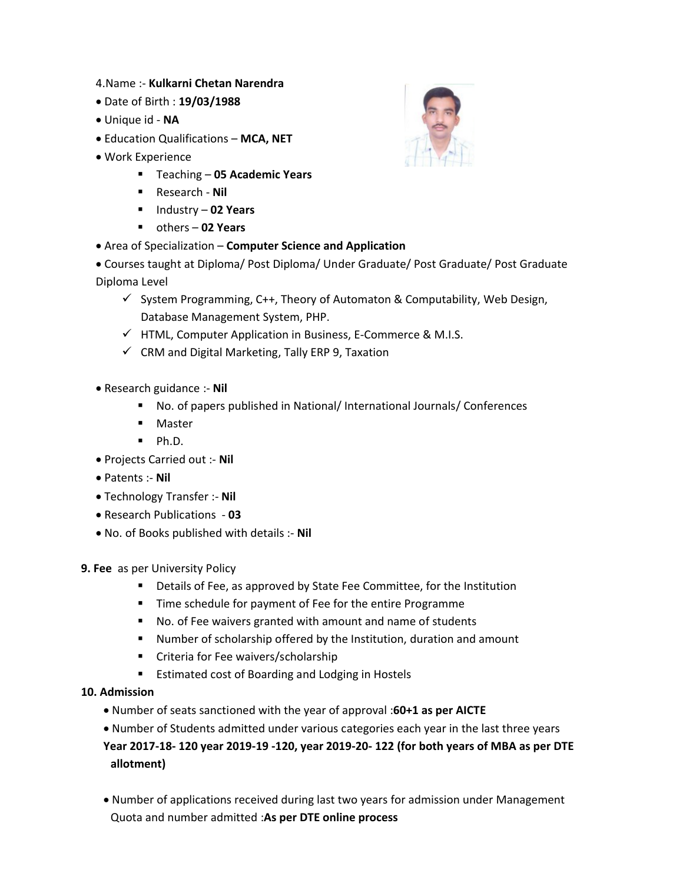- 4.Name :- **Kulkarni Chetan Narendra**
- Date of Birth : **19/03/1988**
- Unique id **NA**
- Education Qualifications **MCA, NET**
- Work Experience
	- Teaching **05 Academic Years**
	- Research **Nil**
	- Industry **02 Years**
	- others **02 Years**
- Area of Specialization **Computer Science and Application**
- Courses taught at Diploma/ Post Diploma/ Under Graduate/ Post Graduate/ Post Graduate Diploma Level
	- $\checkmark$  System Programming, C++, Theory of Automaton & Computability, Web Design, Database Management System, PHP.
	- $\checkmark$  HTML, Computer Application in Business, E-Commerce & M.I.S.
	- $\checkmark$  CRM and Digital Marketing, Tally ERP 9, Taxation
- Research guidance :- **Nil**
	- No. of papers published in National/ International Journals/ Conferences
	- **Master**
	- $\blacksquare$  Ph.D.
- Projects Carried out :- **Nil**
- Patents :- **Nil**
- Technology Transfer :- **Nil**
- Research Publications **03**
- No. of Books published with details :- **Nil**
- **9. Fee** as per University Policy
	- Details of Fee, as approved by State Fee Committee, for the Institution
	- **Time schedule for payment of Fee for the entire Programme**
	- No. of Fee waivers granted with amount and name of students
	- Number of scholarship offered by the Institution, duration and amount
	- **EXP** Criteria for Fee waivers/scholarship
	- **Extimated cost of Boarding and Lodging in Hostels**
- **10. Admission** 
	- Number of seats sanctioned with the year of approval :**60+1 as per AICTE**
	- Number of Students admitted under various categories each year in the last three years **Year 2017-18- 120 year 2019-19 -120, year 2019-20- 122 (for both years of MBA as per DTE allotment)**
	- Number of applications received during last two years for admission under Management Quota and number admitted :**As per DTE online process**

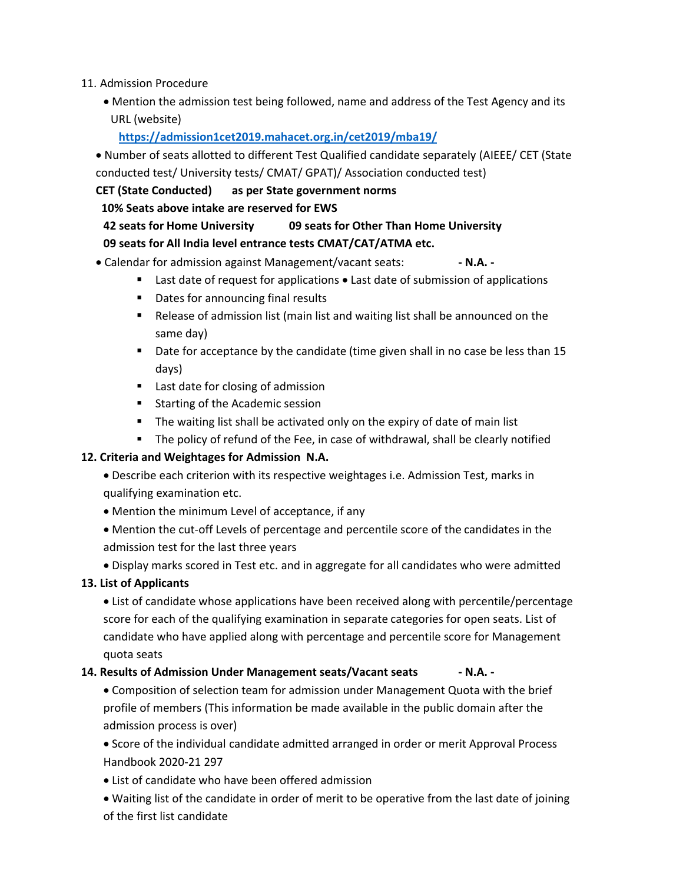- 11. Admission Procedure
	- Mention the admission test being followed, name and address of the Test Agency and its URL (website)

**https://admission1cet2019.mahacet.org.in/cet2019/mba19/**

 Number of seats allotted to different Test Qualified candidate separately (AIEEE/ CET (State conducted test/ University tests/ CMAT/ GPAT)/ Association conducted test)

**CET (State Conducted) as per State government norms** 

 **10% Seats above intake are reserved for EWS** 

# **42 seats for Home University 09 seats for Other Than Home University 09 seats for All India level entrance tests CMAT/CAT/ATMA etc.**

• Calendar for admission against Management/vacant seats: **- N.A.** -

- Last date of request for applications Last date of submission of applications
- Dates for announcing final results
- Release of admission list (main list and waiting list shall be announced on the same day)
- Date for acceptance by the candidate (time given shall in no case be less than 15 days)
- **Last date for closing of admission**
- **Starting of the Academic session**
- The waiting list shall be activated only on the expiry of date of main list
- **The policy of refund of the Fee, in case of withdrawal, shall be clearly notified**

## **12. Criteria and Weightages for Admission N.A.**

- Describe each criterion with its respective weightages i.e. Admission Test, marks in qualifying examination etc.
- Mention the minimum Level of acceptance, if any
- Mention the cut-off Levels of percentage and percentile score of the candidates in the admission test for the last three years
- Display marks scored in Test etc. and in aggregate for all candidates who were admitted

## **13. List of Applicants**

 List of candidate whose applications have been received along with percentile/percentage score for each of the qualifying examination in separate categories for open seats. List of candidate who have applied along with percentage and percentile score for Management quota seats

## **14. Results of Admission Under Management seats/Vacant seats - N.A. -**

 Composition of selection team for admission under Management Quota with the brief profile of members (This information be made available in the public domain after the admission process is over)

 Score of the individual candidate admitted arranged in order or merit Approval Process Handbook 2020-21 297

List of candidate who have been offered admission

 Waiting list of the candidate in order of merit to be operative from the last date of joining of the first list candidate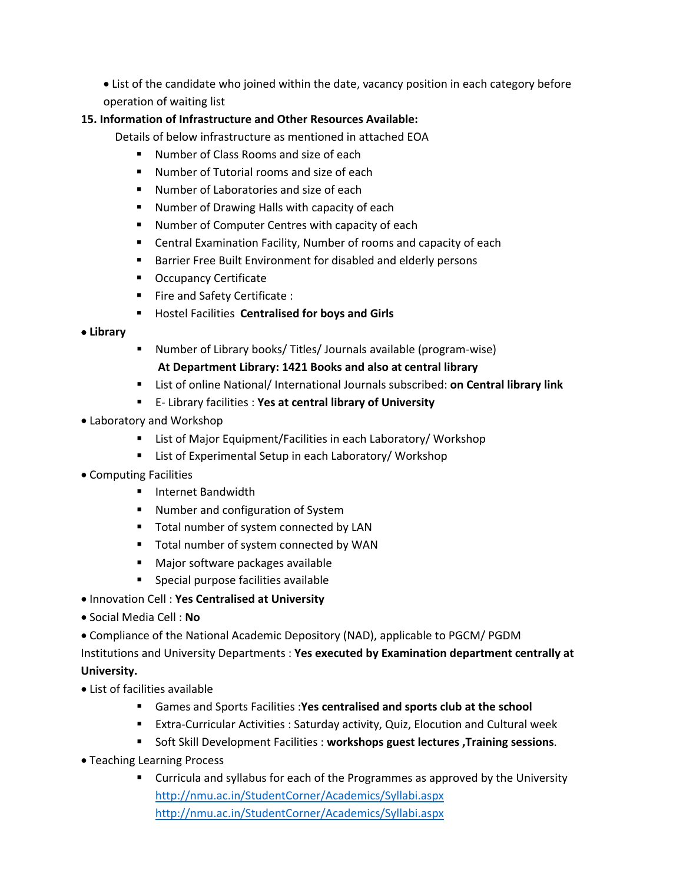List of the candidate who joined within the date, vacancy position in each category before operation of waiting list

# **15. Information of Infrastructure and Other Resources Available:**

- Details of below infrastructure as mentioned in attached EOA
	- **Number of Class Rooms and size of each**
	- **Number of Tutorial rooms and size of each**
	- **Number of Laboratories and size of each**
	- **Number of Drawing Halls with capacity of each**
	- **Number of Computer Centres with capacity of each**
	- Central Examination Facility, Number of rooms and capacity of each
	- **Barrier Free Built Environment for disabled and elderly persons**
	- Occupancy Certificate
	- **Fire and Safety Certificate:**
	- **Hostel Facilities Centralised for boys and Girls**

#### **Library**

Number of Library books/ Titles/ Journals available (program-wise)

#### **At Department Library: 1421 Books and also at central library**

- List of online National/ International Journals subscribed: **on Central library link**
- E- Library facilities : **Yes at central library of University**
- Laboratory and Workshop
	- List of Major Equipment/Facilities in each Laboratory/ Workshop
	- List of Experimental Setup in each Laboratory/ Workshop
- Computing Facilities
	- **Internet Bandwidth**
	- **Number and configuration of System**
	- **Total number of system connected by LAN**
	- **Total number of system connected by WAN**
	- Major software packages available
	- **Special purpose facilities available**
- Innovation Cell : **Yes Centralised at University**
- Social Media Cell : **No**
- Compliance of the National Academic Depository (NAD), applicable to PGCM/ PGDM

Institutions and University Departments : **Yes executed by Examination department centrally at University.**

- List of facilities available
	- Games and Sports Facilities :**Yes centralised and sports club at the school**
	- Extra-Curricular Activities : Saturday activity, Quiz, Elocution and Cultural week
	- Soft Skill Development Facilities : **workshops guest lectures ,Training sessions**.
- Teaching Learning Process
	- Curricula and syllabus for each of the Programmes as approved by the University http://nmu.ac.in/StudentCorner/Academics/Syllabi.aspx http://nmu.ac.in/StudentCorner/Academics/Syllabi.aspx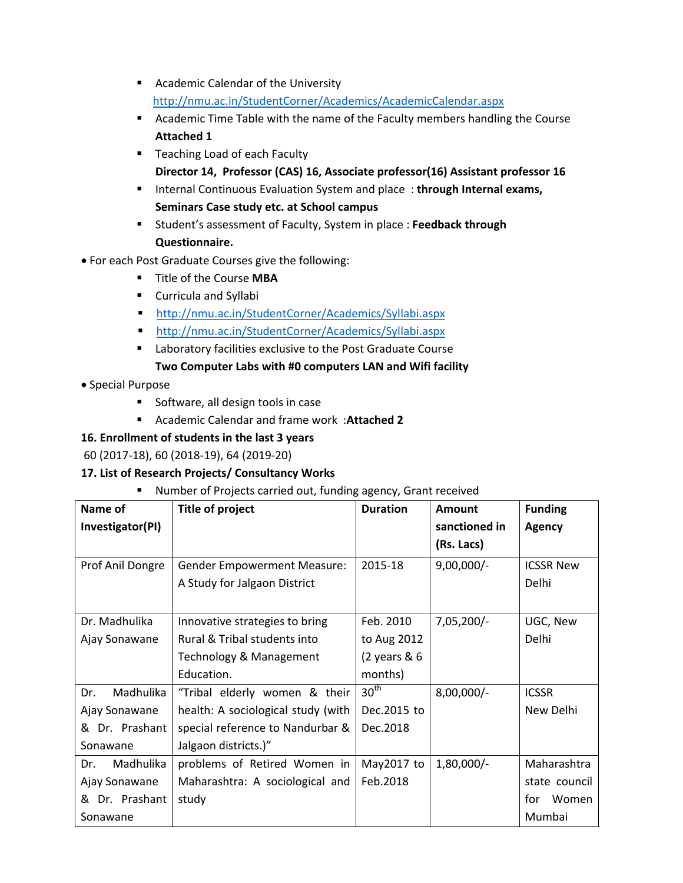- **Academic Calendar of the University** http://nmu.ac.in/StudentCorner/Academics/AcademicCalendar.aspx
- Academic Time Table with the name of the Faculty members handling the Course **Attached 1**
- **Teaching Load of each Faculty Director 14, Professor (CAS) 16, Associate professor(16) Assistant professor 16**
- **Internal Continuous Evaluation System and place: through Internal exams, Seminars Case study etc. at School campus**
- Student's assessment of Faculty, System in place : **Feedback through Questionnaire.**
- For each Post Graduate Courses give the following:
	- Title of the Course **MBA**
	- **Curricula and Syllabi**
	- http://nmu.ac.in/StudentCorner/Academics/Syllabi.aspx
	- http://nmu.ac.in/StudentCorner/Academics/Syllabi.aspx
	- Laboratory facilities exclusive to the Post Graduate Course **Two Computer Labs with #0 computers LAN and Wifi facility**
- Special Purpose
	- Software, all design tools in case
	- Academic Calendar and frame work :**Attached 2**

# **16. Enrollment of students in the last 3 years**

60 (2017-18), 60 (2018-19), 64 (2019-20)

# **17. List of Research Projects/ Consultancy Works**

Number of Projects carried out, funding agency, Grant received

| Name of                                               | <b>Title of project</b>            | <b>Duration</b>                  | Amount        | <b>Funding</b>   |
|-------------------------------------------------------|------------------------------------|----------------------------------|---------------|------------------|
| Investigator(PI)                                      |                                    |                                  | sanctioned in | <b>Agency</b>    |
|                                                       |                                    |                                  | (Rs. Lacs)    |                  |
| Prof Anil Dongre                                      | <b>Gender Empowerment Measure:</b> | 2015-18                          | $9,00,000/-$  | <b>ICSSR New</b> |
|                                                       | A Study for Jalgaon District       |                                  |               | Delhi            |
|                                                       |                                    |                                  |               |                  |
| Dr. Madhulika                                         | Innovative strategies to bring     | Feb. 2010                        | $7,05,200/-$  | UGC, New         |
| Ajay Sonawane                                         | Rural & Tribal students into       | to Aug 2012                      |               | Delhi            |
|                                                       | Technology & Management            | $(2 \text{ years } 8 \text{ 6})$ |               |                  |
|                                                       | Education.                         | months)                          |               |                  |
| Madhulika<br>Dr.                                      | "Tribal elderly women & their      | 30 <sup>th</sup>                 | $8,00,000/-$  | <b>ICSSR</b>     |
| Ajay Sonawane                                         | health: A sociological study (with | Dec.2015 to                      |               | New Delhi        |
| Dr. Prashant<br>special reference to Nandurbar &<br>& |                                    | Dec.2018                         |               |                  |
| Sonawane                                              | Jalgaon districts.)"               |                                  |               |                  |
| Madhulika<br>Dr.                                      | problems of Retired Women in       | May2017 to                       | $1,80,000/-$  | Maharashtra      |
| Maharashtra: A sociological and<br>Ajay Sonawane      |                                    | Feb.2018                         |               | state council    |
| Dr. Prashant<br>&                                     | study                              |                                  |               | for<br>Women     |
| Sonawane                                              |                                    |                                  |               | Mumbai           |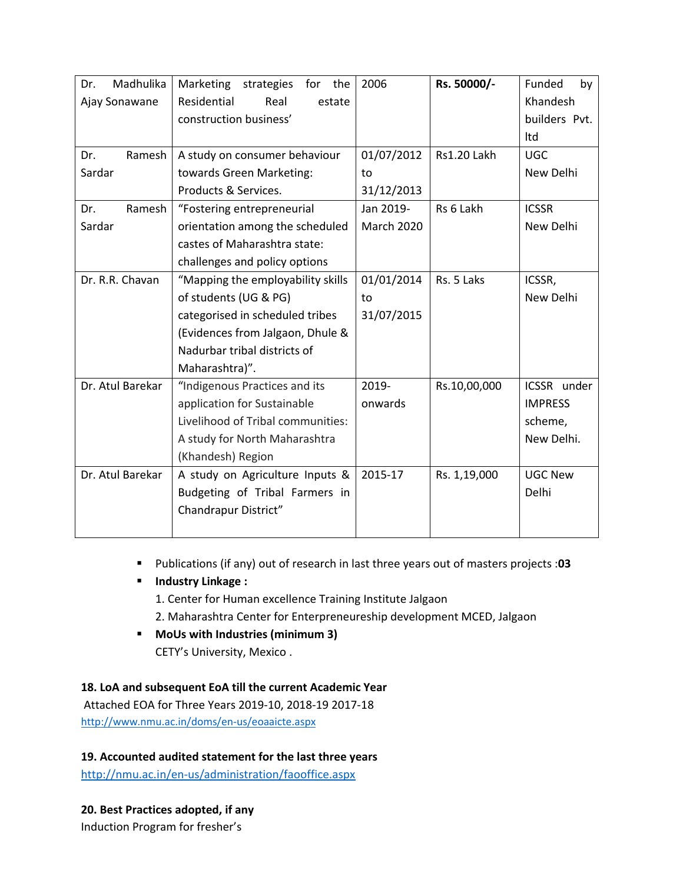| Madhulika<br>Dr. | Marketing strategies for<br>the   | 2006              | Rs. 50000/-        | Funded<br>by   |
|------------------|-----------------------------------|-------------------|--------------------|----------------|
| Ajay Sonawane    | Residential<br>Real<br>estate     |                   |                    | Khandesh       |
|                  | construction business'            |                   |                    | builders Pvt.  |
|                  |                                   |                   |                    | Itd            |
| Ramesh<br>Dr.    | A study on consumer behaviour     | 01/07/2012        | <b>Rs1.20 Lakh</b> | <b>UGC</b>     |
| Sardar           | towards Green Marketing:          | to                |                    | New Delhi      |
|                  | Products & Services.              | 31/12/2013        |                    |                |
| Ramesh<br>Dr.    | "Fostering entrepreneurial        | Jan 2019-         | Rs 6 Lakh          | <b>ICSSR</b>   |
| Sardar           | orientation among the scheduled   | <b>March 2020</b> |                    | New Delhi      |
|                  | castes of Maharashtra state:      |                   |                    |                |
|                  | challenges and policy options     |                   |                    |                |
| Dr. R.R. Chavan  | "Mapping the employability skills | 01/01/2014        | Rs. 5 Laks         | ICSSR,         |
|                  | of students (UG & PG)             | to                |                    | New Delhi      |
|                  | categorised in scheduled tribes   | 31/07/2015        |                    |                |
|                  | (Evidences from Jalgaon, Dhule &  |                   |                    |                |
|                  | Nadurbar tribal districts of      |                   |                    |                |
|                  | Maharashtra)".                    |                   |                    |                |
| Dr. Atul Barekar | "Indigenous Practices and its     | 2019-             | Rs.10,00,000       | ICSSR under    |
|                  | application for Sustainable       | onwards           |                    | <b>IMPRESS</b> |
|                  | Livelihood of Tribal communities: |                   |                    | scheme,        |
|                  | A study for North Maharashtra     |                   |                    | New Delhi.     |
|                  | (Khandesh) Region                 |                   |                    |                |
| Dr. Atul Barekar | A study on Agriculture Inputs &   | 2015-17           | Rs. 1,19,000       | <b>UGC New</b> |
|                  | Budgeting of Tribal Farmers in    |                   |                    | Delhi          |
|                  | Chandrapur District"              |                   |                    |                |
|                  |                                   |                   |                    |                |

- Publications (if any) out of research in last three years out of masters projects :**03**
- **Industry Linkage :**
	- 1. Center for Human excellence Training Institute Jalgaon
	- 2. Maharashtra Center for Enterpreneureship development MCED, Jalgaon
- **MoUs with Industries (minimum 3)**  CETY's University, Mexico .

## **18. LoA and subsequent EoA till the current Academic Year**

Attached EOA for Three Years 2019-10, 2018-19 2017-18 http://www.nmu.ac.in/doms/en-us/eoaaicte.aspx

**19. Accounted audited statement for the last three years** 

http://nmu.ac.in/en-us/administration/faooffice.aspx

**20. Best Practices adopted, if any**  Induction Program for fresher's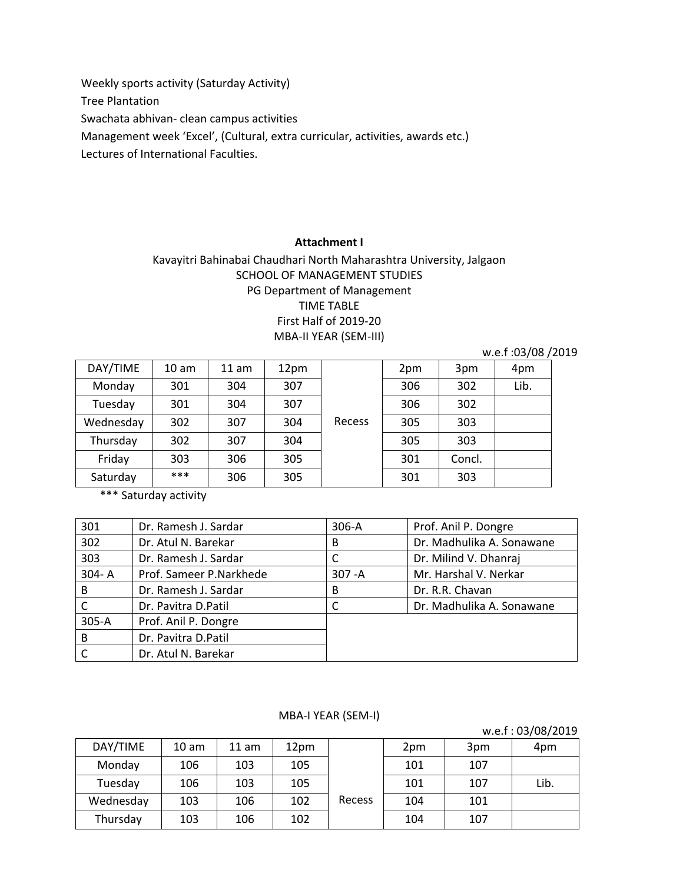Weekly sports activity (Saturday Activity)

Tree Plantation

Swachata abhivan- clean campus activities

Management week 'Excel', (Cultural, extra curricular, activities, awards etc.)

Lectures of International Faculties.

#### **Attachment I**

# Kavayitri Bahinabai Chaudhari North Maharashtra University, Jalgaon SCHOOL OF MANAGEMENT STUDIES PG Department of Management TIME TABLE First Half of 2019-20 MBA-II YEAR (SEM-III)

|           |                  |       |      |        |     |        | w.e.f: 03/08/2019 |  |
|-----------|------------------|-------|------|--------|-----|--------|-------------------|--|
| DAY/TIME  | 10 <sub>am</sub> | 11 am | 12pm |        | 2pm | 3pm    | 4pm               |  |
| Monday    | 301              | 304   | 307  |        | 306 | 302    | Lib.              |  |
| Tuesday   | 301              | 304   | 307  |        | 306 | 302    |                   |  |
| Wednesday | 302              | 307   | 304  | Recess | 305 | 303    |                   |  |
| Thursday  | 302              | 307   | 304  |        | 305 | 303    |                   |  |
| Friday    | 303              | 306   | 305  |        | 301 | Concl. |                   |  |
| Saturday  | ***              | 306   | 305  |        | 301 | 303    |                   |  |

\*\*\* Saturday activity

| 301       | Dr. Ramesh J. Sardar    | 306-A     | Prof. Anil P. Dongre      |
|-----------|-------------------------|-----------|---------------------------|
| 302       | Dr. Atul N. Barekar     | B         | Dr. Madhulika A. Sonawane |
| 303       | Dr. Ramesh J. Sardar    |           | Dr. Milind V. Dhanraj     |
| $304 - A$ | Prof. Sameer P.Narkhede | $307 - A$ | Mr. Harshal V. Nerkar     |
| B         | Dr. Ramesh J. Sardar    | B         | Dr. R.R. Chavan           |
|           | Dr. Pavitra D. Patil    |           | Dr. Madhulika A. Sonawane |
| $305-A$   | Prof. Anil P. Dongre    |           |                           |
| B         | Dr. Pavitra D.Patil     |           |                           |
|           | Dr. Atul N. Barekar     |           |                           |

#### MBA-I YEAR (SEM-I)

w.e.f : 03/08/2019  $DAY/TIME$  10 am 11 am 12pm Recess  $2pm$  3pm  $4pm$ Monday | 106 | 103 | 105 | | 101 | 107 Tuesday | 106 | 103 | 105 | | 101 | 107 | Lib. Wednesday | 103 | 106 | 102 | Recess | 104 | 101 Thursday 103 106 102 104 104 107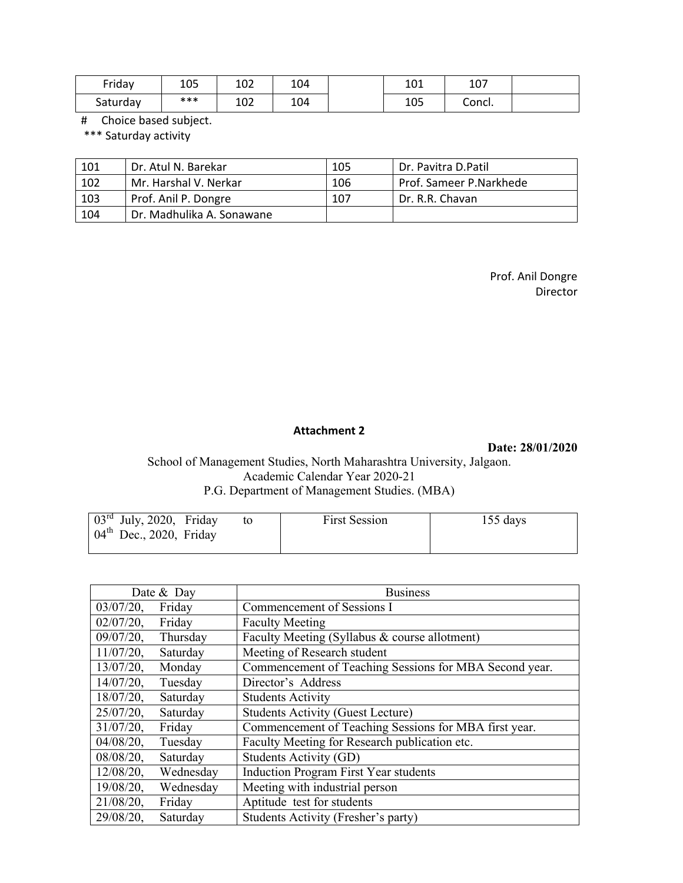| Friday   | 105 | 102 | 104 | 101 | 107    |  |
|----------|-----|-----|-----|-----|--------|--|
| Saturday | *** | 102 | 104 | 105 | Concl. |  |

# Choice based subject.

\*\*\* Saturday activity

| 101 | Dr. Atul N. Barekar       | 105 | Dr. Pavitra D.Patil     |
|-----|---------------------------|-----|-------------------------|
| 102 | Mr. Harshal V. Nerkar     | 106 | Prof. Sameer P.Narkhede |
| 103 | Prof. Anil P. Dongre      | 107 | Dr. R.R. Chavan         |
| 104 | Dr. Madhulika A. Sonawane |     |                         |

Prof. Anil Dongre Director

#### **Attachment 2**

**Date: 28/01/2020**

## School of Management Studies, North Maharashtra University, Jalgaon. Academic Calendar Year 2020-21 P.G. Department of Management Studies. (MBA)

| $\vert 03^{rd}$ July, 2020, Friday | <b>First Session</b> | $155$ days |
|------------------------------------|----------------------|------------|
| $04th$ Dec., 2020, Friday          |                      |            |
|                                    |                      |            |

|              | Date & Day | <b>Business</b>                                        |
|--------------|------------|--------------------------------------------------------|
| $03/07/20$ , | Friday     | Commencement of Sessions I                             |
| $02/07/20$ , | Friday     | <b>Faculty Meeting</b>                                 |
| $09/07/20$ , | Thursday   | Faculty Meeting (Syllabus & course allotment)          |
| $11/07/20$ , | Saturday   | Meeting of Research student                            |
| $13/07/20$ , | Monday     | Commencement of Teaching Sessions for MBA Second year. |
| $14/07/20$ , | Tuesday    | Director's Address                                     |
| $18/07/20$ , | Saturday   | <b>Students Activity</b>                               |
| $25/07/20$ , | Saturday   | <b>Students Activity (Guest Lecture)</b>               |
| $31/07/20$ , | Friday     | Commencement of Teaching Sessions for MBA first year.  |
| $04/08/20$ , | Tuesday    | Faculty Meeting for Research publication etc.          |
| $08/08/20$ , | Saturday   | Students Activity (GD)                                 |
| $12/08/20$ , | Wednesday  | <b>Induction Program First Year students</b>           |
| $19/08/20$ , | Wednesday  | Meeting with industrial person                         |
| $21/08/20$ , | Friday     | Aptitude test for students                             |
| $29/08/20$ , | Saturday   | Students Activity (Fresher's party)                    |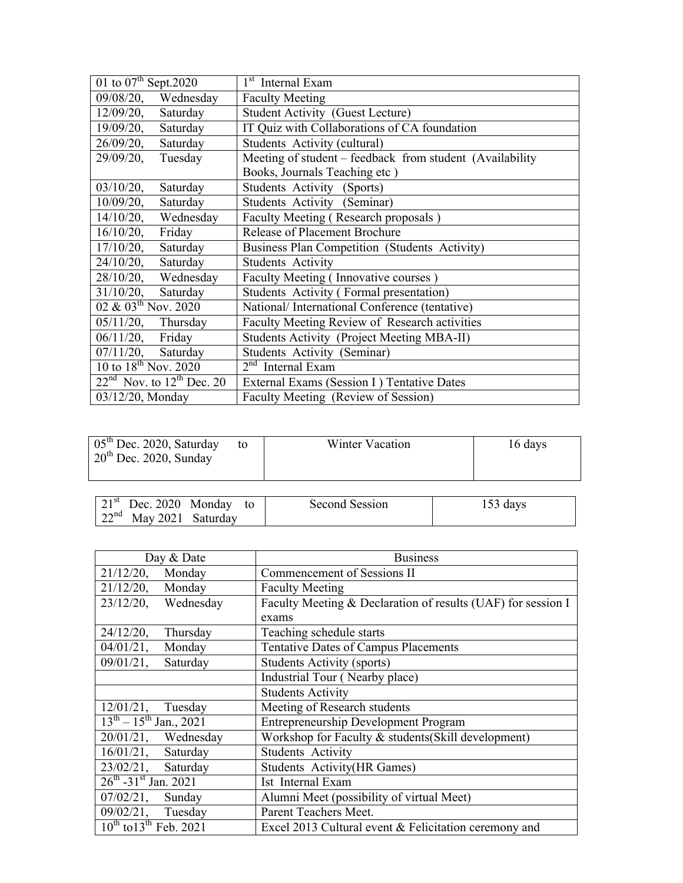| 01 to $07^{\text{th}}$ Sept. 2020 | 1 <sup>st</sup> Internal Exam                            |
|-----------------------------------|----------------------------------------------------------|
| $09/08/20$ ,<br>Wednesday         | <b>Faculty Meeting</b>                                   |
| $12/09/20$ ,<br>Saturday          | <b>Student Activity (Guest Lecture)</b>                  |
| Saturday<br>$19/09/20$ ,          | IT Quiz with Collaborations of CA foundation             |
| $26/09/20$ ,<br>Saturday          | Students Activity (cultural)                             |
| $29/09/20$ ,<br>Tuesday           | Meeting of student – feedback from student (Availability |
|                                   | Books, Journals Teaching etc)                            |
| $03/10/20$ ,<br>Saturday          | Students Activity (Sports)                               |
| $10/09/20$ ,<br>Saturday          | Students Activity (Seminar)                              |
| $14/10/20$ , Wednesday            | Faculty Meeting (Research proposals)                     |
| $16/10/20$ ,<br>Friday            | <b>Release of Placement Brochure</b>                     |
| $17/10/20$ ,<br>Saturday          | Business Plan Competition (Students Activity)            |
| $24/10/20$ ,<br>Saturday          | <b>Students Activity</b>                                 |
| Wednesday<br>$28/10/20$ ,         | Faculty Meeting (Innovative courses)                     |
| $31/10/20$ ,<br>Saturday          | Students Activity (Formal presentation)                  |
| 02 & $03^{th}$ Nov. 2020          | National/International Conference (tentative)            |
| $05/11/20$ ,<br>Thursday          | Faculty Meeting Review of Research activities            |
| 06/11/20, Friday                  | <b>Students Activity (Project Meeting MBA-II)</b>        |
| $07/11/20$ , Saturday             | Students Activity (Seminar)                              |
| 10 to $18^{th}$ Nov. 2020         | $2nd$ Internal Exam                                      |
| $22nd$ Nov. to $12th$ Dec. 20     | External Exams (Session I) Tentative Dates               |
| 03/12/20, Monday                  | Faculty Meeting (Review of Session)                      |

| $05th$ Dec. 2020, Saturday<br>$20th$ Dec. 2020, Sunday | to | Winter Vacation | 16 days |
|--------------------------------------------------------|----|-----------------|---------|
|                                                        |    |                 |         |

|                                  | $21st$ Dec. 2020 Monday to | Second Session | $153 \text{ days}$ |
|----------------------------------|----------------------------|----------------|--------------------|
| $\int 22^{nd}$ May 2021 Saturday |                            |                |                    |

| Day & Date                       | <b>Business</b>                                              |
|----------------------------------|--------------------------------------------------------------|
| $21/12/20$ ,<br>Monday           | Commencement of Sessions II                                  |
| $21/12/20$ , Monday              | <b>Faculty Meeting</b>                                       |
| $23/12/20$ ,<br>Wednesday        | Faculty Meeting & Declaration of results (UAF) for session I |
|                                  | exams                                                        |
| $24/12/20$ ,<br>Thursday         | Teaching schedule starts                                     |
| $04/01/21$ ,<br>Monday           | Tentative Dates of Campus Placements                         |
| $09/01/21$ ,<br>Saturday         | <b>Students Activity (sports)</b>                            |
|                                  | Industrial Tour (Nearby place)                               |
|                                  | <b>Students Activity</b>                                     |
| 12/01/21,<br>Tuesday             | Meeting of Research students                                 |
| $13^{th} - 15^{th}$ Jan., 2021   | <b>Entrepreneurship Development Program</b>                  |
| $20/01/21$ , Wednesday           | Workshop for Faculty & students(Skill development)           |
| $16/01/21$ , Saturday            | Students Activity                                            |
| 23/02/21, Saturday               | <b>Students Activity(HR Games)</b>                           |
| $26^{th}$ -31st Jan. 2021        | Ist Internal Exam                                            |
| $07/02/21$ , Sunday              | Alumni Meet (possibility of virtual Meet)                    |
| 09/02/21, Tuesday                | Parent Teachers Meet.                                        |
| $10^{th}$ to $13^{th}$ Feb. 2021 | Excel 2013 Cultural event & Felicitation ceremony and        |